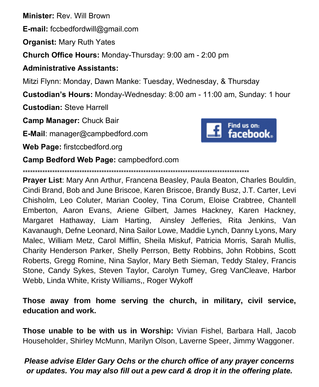**Minister:** Rev. Will Brown

**E-mail:** fccbedfordwill@gmail.com

**Organist:** Mary Ruth Yates

**Church Office Hours:** Monday-Thursday: 9:00 am - 2:00 pm

## **Administrative Assistants:**

Mitzi Flynn: Monday, Dawn Manke: Tuesday, Wednesday, & Thursday

**Custodian's Hours:** Monday-Wednesday: 8:00 am - 11:00 am, Sunday: 1 hour

**Custodian:** Steve Harrell

**Camp Manager:** Chuck Bair

**E-Mail**: manager@campbedford.com

**Web Page:** firstccbedford.org



**Camp Bedford Web Page:** campbedford.com

\*\*\*\*\*\*\*\*\*\*\*\*\*\*\*\*\*\*\*\*\*\*\*\*\*\*\*\*\*\*\*\*\*\*\*\*\*\*\*\*\*\*\*\*\*\*\*\*\*\*\*\*\*\*\*\*\*\*\*\*\*\*\*\*\*\*\*\*\*\*\*\*\*\*\*\*\*\*\*\*\*\*\*\*\*\*\*\*\*\*\*\*

**Prayer List**: Mary Ann Arthur, Francena Beasley, Paula Beaton, Charles Bouldin, Cindi Brand, Bob and June Briscoe, Karen Briscoe, Brandy Busz, J.T. Carter, Levi Chisholm, Leo Coluter, Marian Cooley, Tina Corum, Eloise Crabtree, Chantell Emberton, Aaron Evans, Ariene Gilbert, James Hackney, Karen Hackney, Margaret Hathaway, Liam Harting, Ainsley Jefferies, Rita Jenkins, Van Kavanaugh, Defne Leonard, Nina Sailor Lowe, Maddie Lynch, Danny Lyons, Mary Malec, William Metz, Carol Mifflin, Sheila Miskuf, Patricia Morris, Sarah Mullis, Charity Henderson Parker, Shelly Perrson, Betty Robbins, John Robbins, Scott Roberts, Gregg Romine, Nina Saylor, Mary Beth Sieman, Teddy Staley, Francis Stone, Candy Sykes, Steven Taylor, Carolyn Tumey, Greg VanCleave, Harbor Webb, Linda White, Kristy Williams,, Roger Wykoff

**Those away from home serving the church, in military, civil service, education and work.**

**Those unable to be with us in Worship:** Vivian Fishel, Barbara Hall, Jacob Householder, Shirley McMunn, Marilyn Olson, Laverne Speer, Jimmy Waggoner.

## *Please advise Elder Gary Ochs or the church office of any prayer concerns or updates. You may also fill out a pew card & drop it in the offering plate.*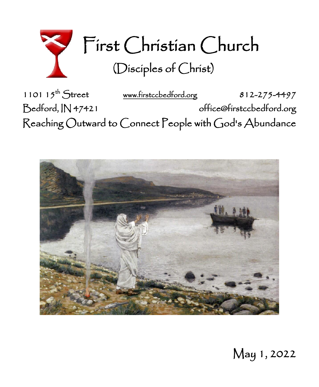

1101 15<sup>th</sup> Street [www.firstccbedford.org](http://www.firstccbedford.org/) 812-275-4497 Bedford, IN 47421 office@firstccbedford.org  $\sf Reaching~Outward$  to  $\sf C$ onnect  $\sf P$ eople with  $\sf G$ od's  $\sf Abundance$ 



May 1, 2022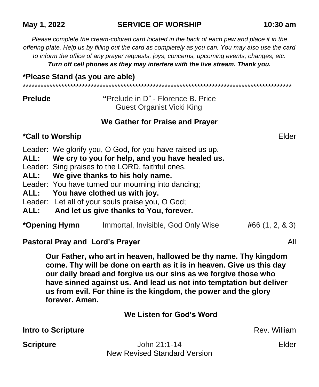## **May 1, 2022 SERVICE OF WORSHIP 10:30 am**

*Please complete the cream-colored card located in the back of each pew and place it in the offering plate. Help us by filling out the card as completely as you can. You may also use the card to inform the office of any prayer requests, joys, concerns, upcoming events, changes, etc. Turn off cell phones as they may interfere with the live stream. Thank you.*

#### **\*Please Stand (as you are able)**

**Prelude "**Prelude in D" - Florence B. Price Guest Organist Vicki King

\*\*\*\*\*\*\*\*\*\*\*\*\*\*\*\*\*\*\*\*\*\*\*\*\*\*\*\*\*\*\*\*\*\*\*\*\*\*\*\*\*\*\*\*\*\*\*\*\*\*\*\*\*\*\*\*\*\*\*\*\*\*\*\*\*\*\*\*\*\*\*\*\*\*\*\*\*\*\*\*\*\*\*\*\*\*\*\*\*\*\*

#### **We Gather for Praise and Prayer**

## **\*Call to Worship** Elder

Leader: We glorify you, O God, for you have raised us up.

**ALL: We cry to you for help, and you have healed us.**

Leader: Sing praises to the LORD, faithful ones,

**ALL: We give thanks to his holy name.**

Leader: You have turned our mourning into dancing;

**ALL: You have clothed us with joy.**

Leader: Let all of your souls praise you, O God;

## **ALL: And let us give thanks to You, forever.**

| *Opening Hymn | Immortal, Invisible, God Only Wise |  | #66(1, 2, 8, 3) |
|---------------|------------------------------------|--|-----------------|
|---------------|------------------------------------|--|-----------------|

**Pastoral Pray and Lord's Prayer** All

**Our Father, who art in heaven, hallowed be thy name. Thy kingdom come. Thy will be done on earth as it is in heaven. Give us this day our daily bread and forgive us our sins as we forgive those who have sinned against us. And lead us not into temptation but deliver us from evil. For thine is the kingdom, the power and the glory forever. Amen.**

**We Listen for God's Word**

**Intro to Scripture Rev. William** Rev. William

**Scripture Community Elder** John 21:1-14 **Elder Elder** New Revised Standard Version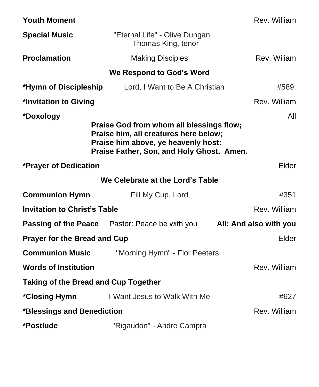| <b>Youth Moment</b>                                                                                                                                                   |                                                                                     | Rev. William |  |  |
|-----------------------------------------------------------------------------------------------------------------------------------------------------------------------|-------------------------------------------------------------------------------------|--------------|--|--|
| <b>Special Music</b>                                                                                                                                                  | "Eternal Life" - Olive Dungan<br>Thomas King, tenor                                 |              |  |  |
| <b>Proclamation</b>                                                                                                                                                   | <b>Making Disciples</b>                                                             | Rev. Wiliam  |  |  |
| We Respond to God's Word                                                                                                                                              |                                                                                     |              |  |  |
| *Hymn of Discipleship                                                                                                                                                 | Lord, I Want to Be A Christian                                                      | #589         |  |  |
| *Invitation to Giving                                                                                                                                                 |                                                                                     | Rev. William |  |  |
| *Doxology                                                                                                                                                             |                                                                                     | All          |  |  |
| Praise God from whom all blessings flow;<br>Praise him, all creatures here below;<br>Praise him above, ye heavenly host:<br>Praise Father, Son, and Holy Ghost. Amen. |                                                                                     |              |  |  |
| *Prayer of Dedication                                                                                                                                                 | Elder                                                                               |              |  |  |
| We Celebrate at the Lord's Table                                                                                                                                      |                                                                                     |              |  |  |
| <b>Communion Hymn</b>                                                                                                                                                 | Fill My Cup, Lord                                                                   | #351         |  |  |
| <b>Invitation to Christ's Table</b><br>Rev. William                                                                                                                   |                                                                                     |              |  |  |
|                                                                                                                                                                       | <b>Passing of the Peace</b> Pastor: Peace be with you <b>All: And also with you</b> |              |  |  |
| <b>Prayer for the Bread and Cup</b>                                                                                                                                   |                                                                                     | Elder        |  |  |
| <b>Communion Music</b>                                                                                                                                                | "Morning Hymn" - Flor Peeters                                                       |              |  |  |
| <b>Words of Institution</b>                                                                                                                                           |                                                                                     | Rev. William |  |  |
| Taking of the Bread and Cup Together                                                                                                                                  |                                                                                     |              |  |  |
| *Closing Hymn                                                                                                                                                         | I Want Jesus to Walk With Me                                                        | #627         |  |  |
| *Blessings and Benediction                                                                                                                                            |                                                                                     | Rev. William |  |  |
| *Postlude                                                                                                                                                             | "Rigaudon" - Andre Campra                                                           |              |  |  |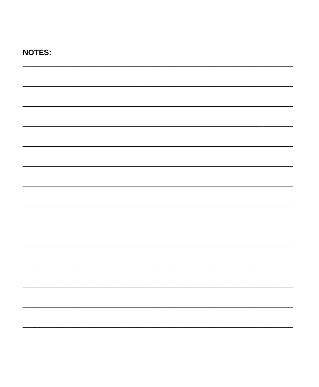# **NOTES:**  $\overline{\phantom{0}}$ <u> 1990 - John Harry Harry Harry Harry Harry Harry Harry Harry Harry Harry Harry Harry Harry Harry Harry Harry H</u>  $\overline{\phantom{0}}$  $\overline{\phantom{a}}$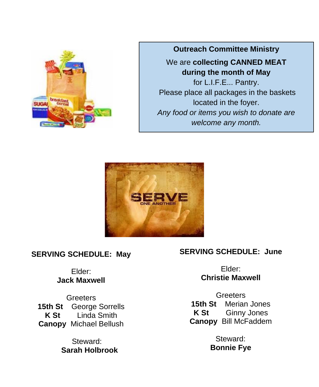

**Outreach Committee Ministry**

# We are **collecting CANNED MEAT during the month of May**

for L.I.F.E... Pantry. Please place all packages in the baskets located in the foyer. *Any food or items you wish to donate are welcome any month.*



## **SERVING SCHEDULE: May**

## Elder: **Jack Maxwell**

**Greeters 15th St** George Sorrells **K St** Linda Smith **Canopy** Michael Bellush

> Steward: **Sarah Holbrook**

## **SERVING SCHEDULE: June**

Elder: **Christie Maxwell**

**Greeters 15th St** Merian Jones **K St** Ginny Jones **Canopy** Bill McFaddem

> Steward: **Bonnie Fye**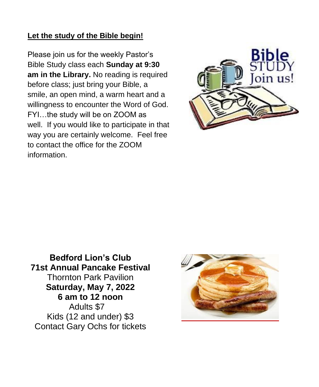## **Let the study of the Bible begin!**

Please join us for the weekly Pastor's Bible Study class each **Sunday at 9:30 am in the Library.** No reading is required before class; just bring your Bible, a smile, an open mind, a warm heart and a willingness to encounter the Word of God. FYI…the study will be on ZOOM as well. If you would like to participate in that way you are certainly welcome. Feel free to contact the office for the ZOOM information.



**Bedford Lion's Club 71st Annual Pancake Festival** Thornton Park Pavilion **Saturday, May 7, 2022 6 am to 12 noon** Adults \$7 Kids (12 and under) \$3 Contact Gary Ochs for tickets